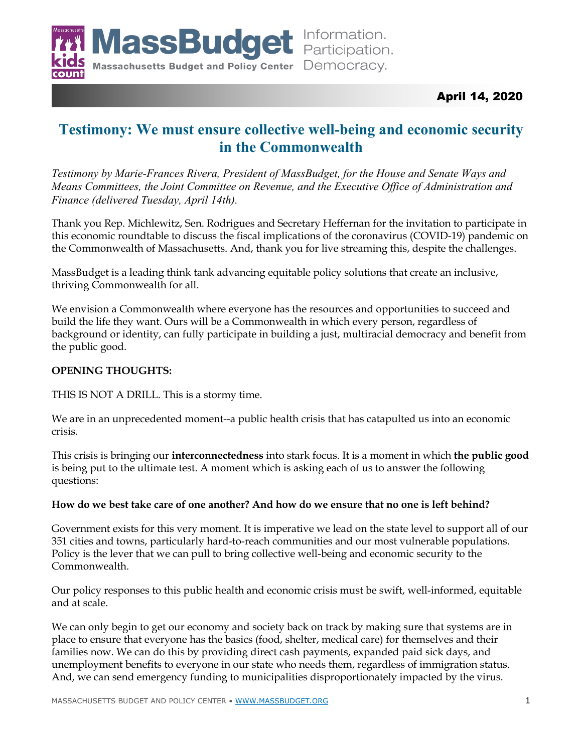

# April 14, 2020

# **Testimony: We must ensure collective well-being and economic security in the Commonwealth**

*Testimony by Marie-Frances Rivera, President of MassBudget, for the House and Senate Ways and Means Committees, the Joint Committee on Revenue, and the Executive Office of Administration and Finance (delivered Tuesday, April 14th).* 

Thank you Rep. Michlewitz, Sen. Rodrigues and Secretary Heffernan for the invitation to participate in this economic roundtable to discuss the fiscal implications of the coronavirus (COVID-19) pandemic on the Commonwealth of Massachusetts. And, thank you for live streaming this, despite the challenges.

MassBudget is a leading think tank advancing equitable policy solutions that create an inclusive, thriving Commonwealth for all.

We envision a Commonwealth where everyone has the resources and opportunities to succeed and build the life they want. Ours will be a Commonwealth in which every person, regardless of background or identity, can fully participate in building a just, multiracial democracy and benefit from the public good.

# **OPENING THOUGHTS:**

THIS IS NOT A DRILL. This is a stormy time.

We are in an unprecedented moment--a public health crisis that has catapulted us into an economic crisis.

This crisis is bringing our **interconnectedness** into stark focus. It is a moment in which **the public good** is being put to the ultimate test. A moment which is asking each of us to answer the following questions:

# **How do we best take care of one another? And how do we ensure that no one is left behind?**

Government exists for this very moment. It is imperative we lead on the state level to support all of our 351 cities and towns, particularly hard-to-reach communities and our most vulnerable populations. Policy is the lever that we can pull to bring collective well-being and economic security to the Commonwealth.

Our policy responses to this public health and economic crisis must be swift, well-informed, equitable and at scale.

We can only begin to get our economy and society back on track by making sure that systems are in place to ensure that everyone has the basics (food, shelter, medical care) for themselves and their families now. We can do this by providing direct cash payments, expanded paid sick days, and unemployment benefits to everyone in our state who needs them, regardless of immigration status. And, we can send emergency funding to municipalities disproportionately impacted by the virus.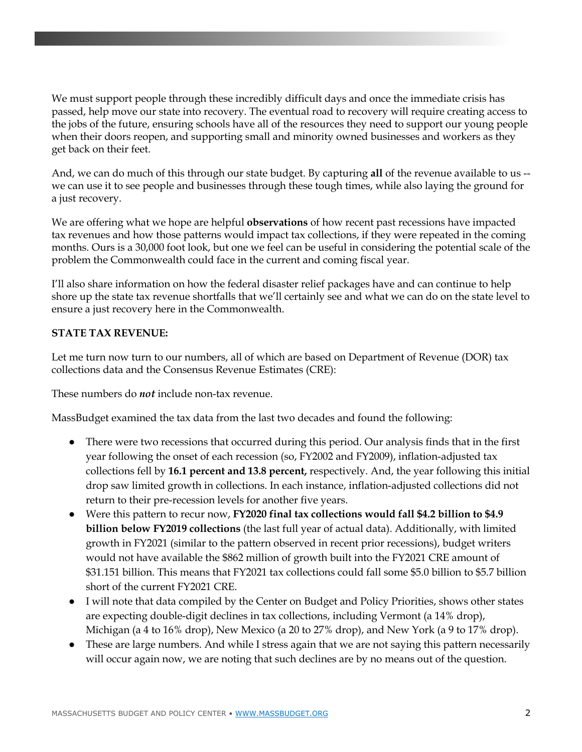We must support people through these incredibly difficult days and once the immediate crisis has passed, help move our state into recovery. The eventual road to recovery will require creating access to the jobs of the future, ensuring schools have all of the resources they need to support our young people when their doors reopen, and supporting small and minority owned businesses and workers as they get back on their feet.

And, we can do much of this through our state budget. By capturing **all** of the revenue available to us - we can use it to see people and businesses through these tough times, while also laying the ground for a just recovery.

We are offering what we hope are helpful **observations** of how recent past recessions have impacted tax revenues and how those patterns would impact tax collections, if they were repeated in the coming months. Ours is a 30,000 foot look, but one we feel can be useful in considering the potential scale of the problem the Commonwealth could face in the current and coming fiscal year.

I'll also share information on how the federal disaster relief packages have and can continue to help shore up the state tax revenue shortfalls that we'll certainly see and what we can do on the state level to ensure a just recovery here in the Commonwealth.

#### **STATE TAX REVENUE:**

Let me turn now turn to our numbers, all of which are based on Department of Revenue (DOR) tax collections data and the Consensus Revenue Estimates (CRE):

These numbers do *not* include non-tax revenue.

MassBudget examined the tax data from the last two decades and found the following:

- There were two recessions that occurred during this period. Our analysis finds that in the first year following the onset of each recession (so, FY2002 and FY2009), inflation-adjusted tax collections fell by **16.1 percent and 13.8 percent,** respectively. And, the year following this initial drop saw limited growth in collections. In each instance, inflation-adjusted collections did not return to their pre-recession levels for another five years.
- Were this pattern to recur now, **FY2020 final tax collections would fall \$4.2 billion to \$4.9 billion below FY2019 collections** (the last full year of actual data). Additionally, with limited growth in FY2021 (similar to the pattern observed in recent prior recessions), budget writers would not have available the \$862 million of growth built into the FY2021 CRE amount of \$31.151 billion. This means that FY2021 tax collections could fall some \$5.0 billion to \$5.7 billion short of the current FY2021 CRE.
- I will note that data compiled by the Center on Budget and Policy Priorities, shows other states are expecting double-digit declines in tax collections, including Vermont (a 14% drop), Michigan (a 4 to 16% drop), New Mexico (a 20 to 27% drop), and New York (a 9 to 17% drop).
- These are large numbers. And while I stress again that we are not saying this pattern necessarily will occur again now, we are noting that such declines are by no means out of the question.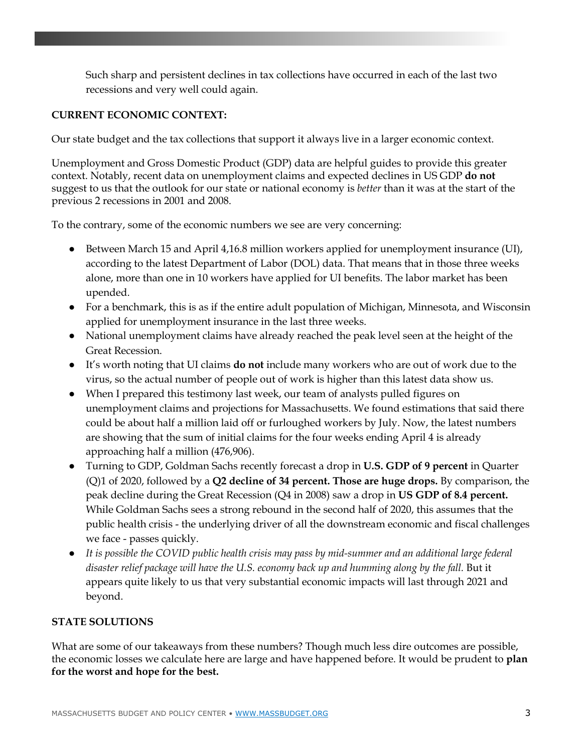Such sharp and persistent declines in tax collections have occurred in each of the last two recessions and very well could again.

# **CURRENT ECONOMIC CONTEXT:**

Our state budget and the tax collections that support it always live in a larger economic context.

Unemployment and Gross Domestic Product (GDP) data are helpful guides to provide this greater context. Notably, recent data on unemployment claims and expected declines in US GDP **do not**  suggest to us that the outlook for our state or national economy is *better* than it was at the start of the previous 2 recessions in 2001 and 2008.

To the contrary, some of the economic numbers we see are very concerning:

- Between March 15 and April 4,16.8 million workers applied for unemployment insurance (UI), according to the latest Department of Labor (DOL) data. That means that in those three weeks alone, more than one in 10 workers have applied for UI benefits. The labor market has been upended.
- For a benchmark, this is as if the entire adult population of Michigan, Minnesota, and Wisconsin applied for unemployment insurance in the last three weeks.
- National unemployment claims have already reached the peak level seen at the height of the Great Recession.
- It's worth noting that UI claims **do not** include many workers who are out of work due to the virus, so the actual number of people out of work is higher than this latest data show us.
- When I prepared this testimony last week, our team of analysts pulled figures on unemployment claims and projections for Massachusetts. We found estimations that said there could be about half a million laid off or furloughed workers by July. Now, the latest numbers are showing that the sum of initial claims for the four weeks ending April 4 is already approaching half a million (476,906).
- Turning to GDP, Goldman Sachs recently forecast a drop in **U.S. GDP of 9 percent** in Quarter (Q)1 of 2020, followed by a **Q2 decline of 34 percent. Those are huge drops.** By comparison, the peak decline during the Great Recession (Q4 in 2008) saw a drop in **US GDP of 8.4 percent.**  While Goldman Sachs sees a strong rebound in the second half of 2020, this assumes that the public health crisis - the underlying driver of all the downstream economic and fiscal challenges we face - passes quickly.
- *It is possible the COVID public health crisis may pass by mid-summer and an additional large federal disaster relief package will have the U.S. economy back up and humming along by the fall.* But it appears quite likely to us that very substantial economic impacts will last through 2021 and beyond.

# **STATE SOLUTIONS**

What are some of our takeaways from these numbers? Though much less dire outcomes are possible, the economic losses we calculate here are large and have happened before. It would be prudent to **plan for the worst and hope for the best.**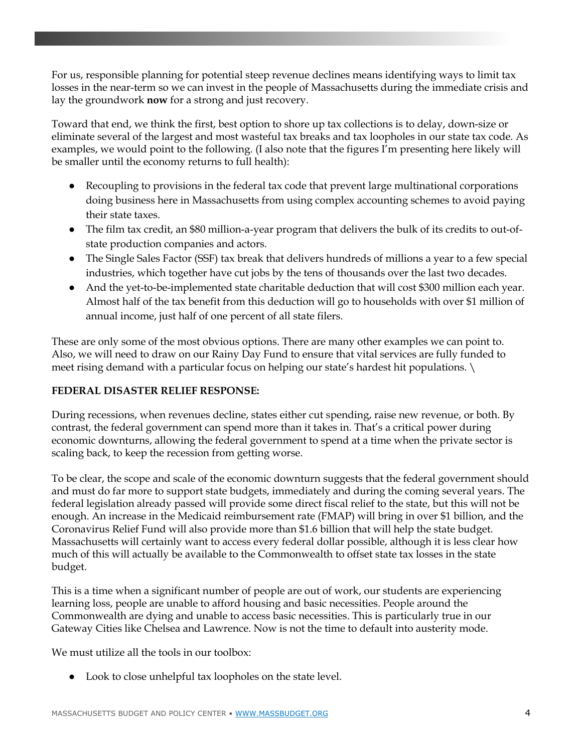For us, responsible planning for potential steep revenue declines means identifying ways to limit tax losses in the near-term so we can invest in the people of Massachusetts during the immediate crisis and lay the groundwork **now** for a strong and just recovery.

Toward that end, we think the first, best option to shore up tax collections is to delay, down-size or eliminate several of the largest and most wasteful tax breaks and tax loopholes in our state tax code. As examples, we would point to the following. (I also note that the figures I'm presenting here likely will be smaller until the economy returns to full health):

- Recoupling to provisions in the federal tax code that prevent large multinational corporations doing business here in Massachusetts from using complex accounting schemes to avoid paying their state taxes.
- The film tax credit, an \$80 million-a-year program that delivers the bulk of its credits to out-ofstate production companies and actors.
- The Single Sales Factor (SSF) tax break that delivers hundreds of millions a year to a few special industries, which together have cut jobs by the tens of thousands over the last two decades.
- And the yet-to-be-implemented state charitable deduction that will cost \$300 million each year. Almost half of the tax benefit from this deduction will go to households with over \$1 million of annual income, just half of one percent of all state filers.

These are only some of the most obvious options. There are many other examples we can point to. Also, we will need to draw on our Rainy Day Fund to ensure that vital services are fully funded to meet rising demand with a particular focus on helping our state's hardest hit populations. \

# **FEDERAL DISASTER RELIEF RESPONSE:**

During recessions, when revenues decline, states either cut spending, raise new revenue, or both. By contrast, the federal government can spend more than it takes in. That's a critical power during economic downturns, allowing the federal government to spend at a time when the private sector is scaling back, to keep the recession from getting worse.

To be clear, the scope and scale of the economic downturn suggests that the federal government should and must do far more to support state budgets, immediately and during the coming several years. The federal legislation already passed will provide some direct fiscal relief to the state, but this will not be enough. An increase in the Medicaid reimbursement rate (FMAP) will bring in over \$1 billion, and the Coronavirus Relief Fund will also provide more than \$1.6 billion that will help the state budget. Massachusetts will certainly want to access every federal dollar possible, although it is less clear how much of this will actually be available to the Commonwealth to offset state tax losses in the state budget.

This is a time when a significant number of people are out of work, our students are experiencing learning loss, people are unable to afford housing and basic necessities. People around the Commonwealth are dying and unable to access basic necessities. This is particularly true in our Gateway Cities like Chelsea and Lawrence. Now is not the time to default into austerity mode.

We must utilize all the tools in our toolbox:

● Look to close unhelpful tax loopholes on the state level.